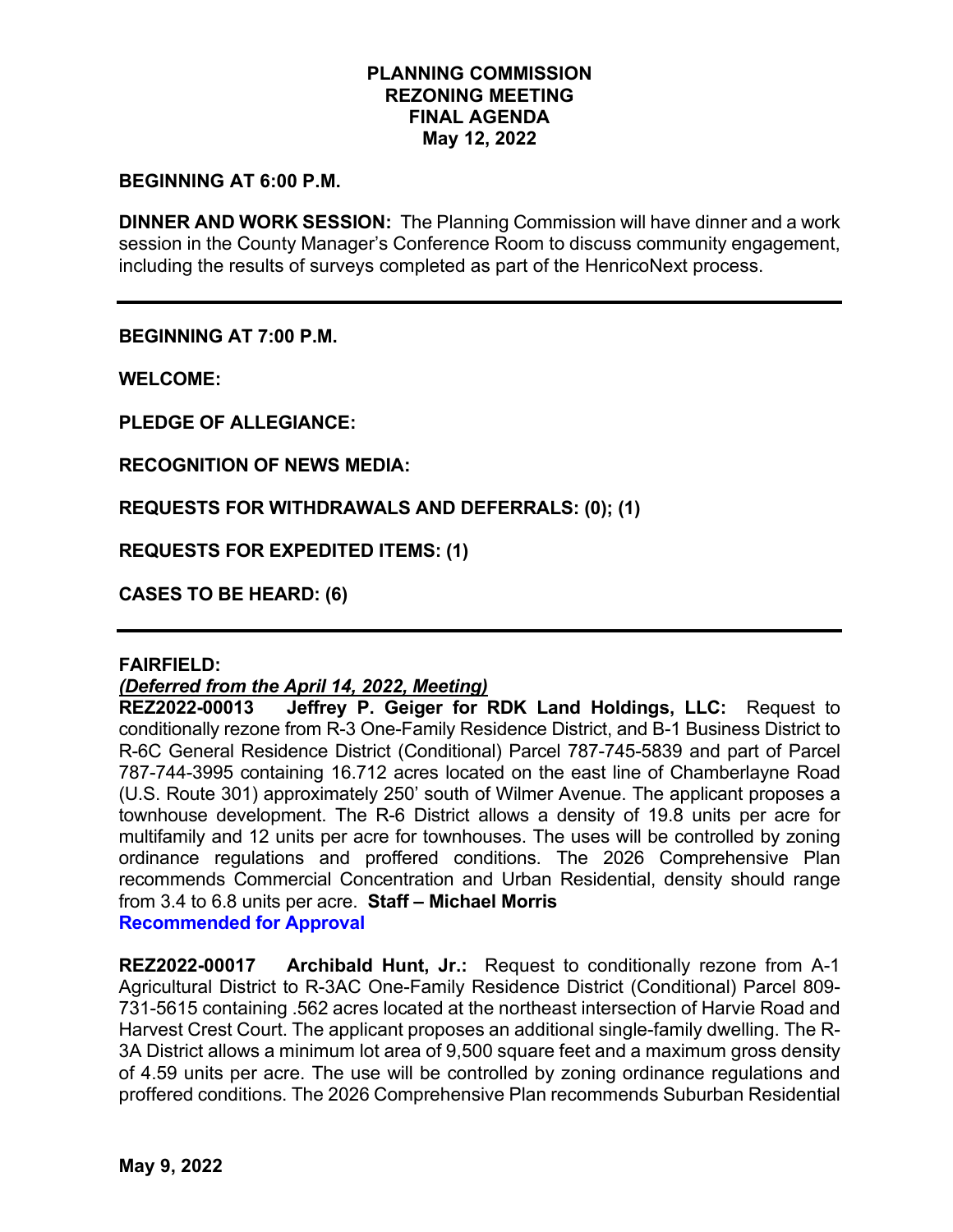# **PLANNING COMMISSION REZONING MEETING FINAL AGENDA May 12, 2022**

# **BEGINNING AT 6:00 P.M.**

**DINNER AND WORK SESSION:** The Planning Commission will have dinner and a work session in the County Manager's Conference Room to discuss community engagement, including the results of surveys completed as part of the HenricoNext process.

**BEGINNING AT 7:00 P.M.**

**WELCOME:**

**PLEDGE OF ALLEGIANCE:**

**RECOGNITION OF NEWS MEDIA:**

**REQUESTS FOR WITHDRAWALS AND DEFERRALS: (0); (1)** 

**REQUESTS FOR EXPEDITED ITEMS: (1)** 

**CASES TO BE HEARD: (6)** 

#### **FAIRFIELD:**

#### *(Deferred from the April 14, 2022, Meeting)*

**REZ2022-00013 Jeffrey P. Geiger for RDK Land Holdings, LLC:** Request to conditionally rezone from R-3 One-Family Residence District, and B-1 Business District to R-6C General Residence District (Conditional) Parcel 787-745-5839 and part of Parcel 787-744-3995 containing 16.712 acres located on the east line of Chamberlayne Road (U.S. Route 301) approximately 250' south of Wilmer Avenue. The applicant proposes a townhouse development. The R-6 District allows a density of 19.8 units per acre for multifamily and 12 units per acre for townhouses. The uses will be controlled by zoning ordinance regulations and proffered conditions. The 2026 Comprehensive Plan recommends Commercial Concentration and Urban Residential, density should range from 3.4 to 6.8 units per acre. **Staff – Michael Morris Recommended for Approval**

**REZ2022-00017 Archibald Hunt, Jr.:** Request to conditionally rezone from A-1 Agricultural District to R-3AC One-Family Residence District (Conditional) Parcel 809- 731-5615 containing .562 acres located at the northeast intersection of Harvie Road and Harvest Crest Court. The applicant proposes an additional single-family dwelling. The R-3A District allows a minimum lot area of 9,500 square feet and a maximum gross density of 4.59 units per acre. The use will be controlled by zoning ordinance regulations and proffered conditions. The 2026 Comprehensive Plan recommends Suburban Residential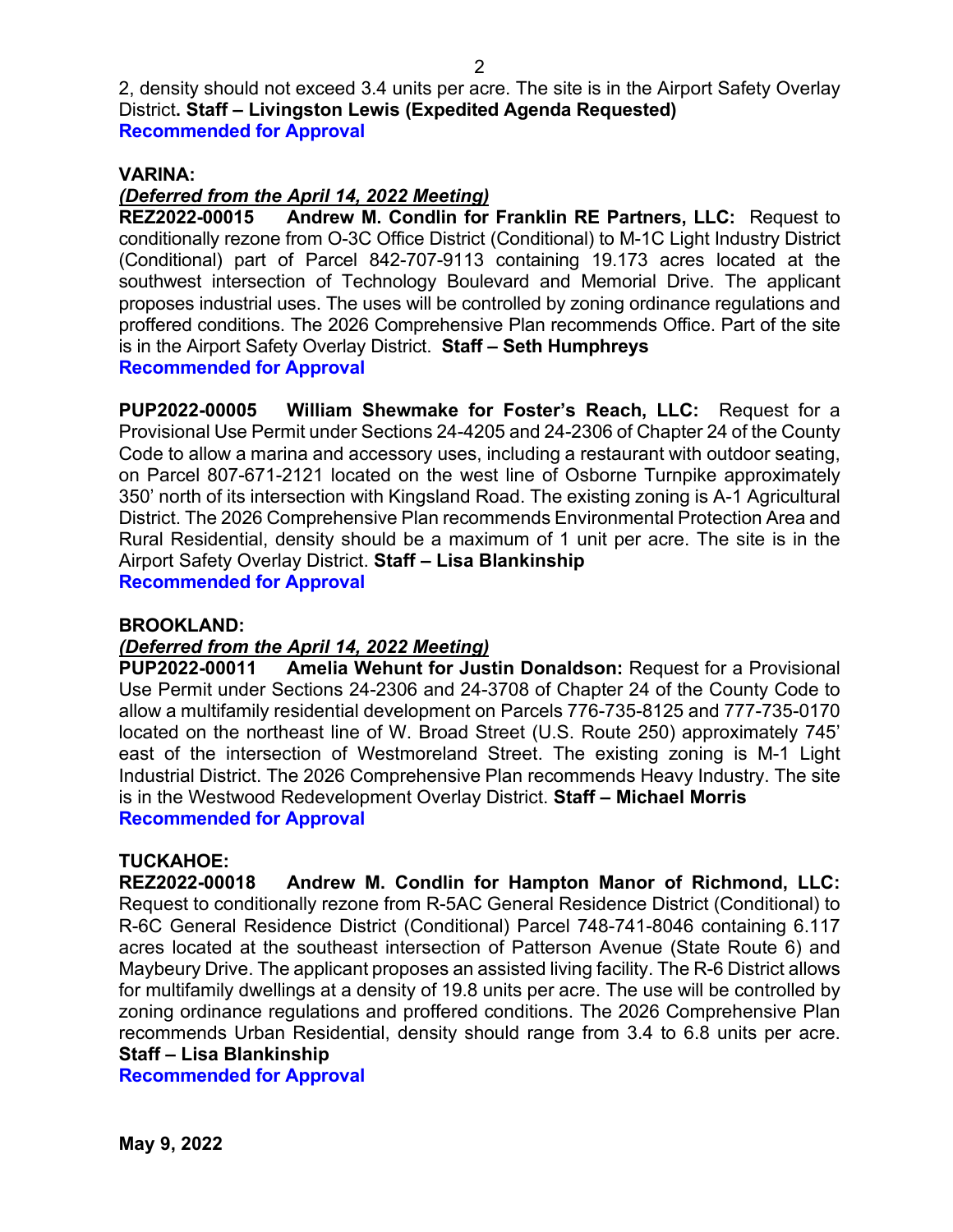2, density should not exceed 3.4 units per acre. The site is in the Airport Safety Overlay District**. Staff – Livingston Lewis (Expedited Agenda Requested) Recommended for Approval**

# **VARINA:**

# *(Deferred from the April 14, 2022 Meeting)*

**REZ2022-00015 Andrew M. Condlin for Franklin RE Partners, LLC:** Request to conditionally rezone from O-3C Office District (Conditional) to M-1C Light Industry District (Conditional) part of Parcel 842-707-9113 containing 19.173 acres located at the southwest intersection of Technology Boulevard and Memorial Drive. The applicant proposes industrial uses. The uses will be controlled by zoning ordinance regulations and proffered conditions. The 2026 Comprehensive Plan recommends Office. Part of the site is in the Airport Safety Overlay District. **Staff – Seth Humphreys Recommended for Approval**

**PUP2022-00005 William Shewmake for Foster's Reach, LLC:** Request for a Provisional Use Permit under Sections 24-4205 and 24-2306 of Chapter 24 of the County Code to allow a marina and accessory uses, including a restaurant with outdoor seating, on Parcel 807-671-2121 located on the west line of Osborne Turnpike approximately 350' north of its intersection with Kingsland Road. The existing zoning is A-1 Agricultural District. The 2026 Comprehensive Plan recommends Environmental Protection Area and Rural Residential, density should be a maximum of 1 unit per acre. The site is in the Airport Safety Overlay District. **Staff – Lisa Blankinship**

**Recommended for Approval**

# **BROOKLAND:**

# *(Deferred from the April 14, 2022 Meeting)*

**Amelia Wehunt for Justin Donaldson: Request for a Provisional** Use Permit under Sections 24-2306 and 24-3708 of Chapter 24 of the County Code to allow a multifamily residential development on Parcels 776-735-8125 and 777-735-0170 located on the northeast line of W. Broad Street (U.S. Route 250) approximately 745' east of the intersection of Westmoreland Street. The existing zoning is M-1 Light Industrial District. The 2026 Comprehensive Plan recommends Heavy Industry. The site is in the Westwood Redevelopment Overlay District. **Staff – Michael Morris Recommended for Approval**

**TUCKAHOE:** Andrew M. Condlin for Hampton Manor of Richmond, LLC: Request to conditionally rezone from R-5AC General Residence District (Conditional) to R-6C General Residence District (Conditional) Parcel 748-741-8046 containing 6.117 acres located at the southeast intersection of Patterson Avenue (State Route 6) and Maybeury Drive. The applicant proposes an assisted living facility. The R-6 District allows for multifamily dwellings at a density of 19.8 units per acre. The use will be controlled by zoning ordinance regulations and proffered conditions. The 2026 Comprehensive Plan recommends Urban Residential, density should range from 3.4 to 6.8 units per acre. **Staff – Lisa Blankinship**

**Recommended for Approval**